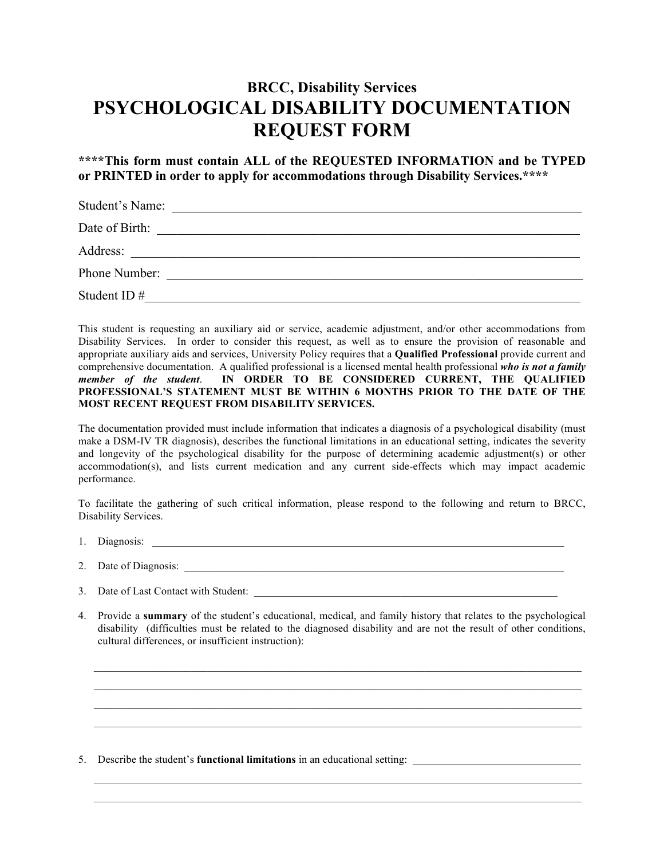## **BRCC, Disability Services PSYCHOLOGICAL DISABILITY DOCUMENTATION REQUEST FORM**

**\*\*\*\*This form must contain ALL of the REQUESTED INFORMATION and be TYPED or PRINTED in order to apply for accommodations through Disability Services.\*\*\*\***

| Student's Name: | <u> 1980 - Jan Sterling Sterling (f. 1980)</u>             |
|-----------------|------------------------------------------------------------|
| Date of Birth:  | <u> 1989 - John Stone, Amerikaansk politiker (</u> † 1920) |
| Address:        |                                                            |
| Phone Number:   |                                                            |
| Student ID $#$  |                                                            |

This student is requesting an auxiliary aid or service, academic adjustment, and/or other accommodations from Disability Services. In order to consider this request, as well as to ensure the provision of reasonable and appropriate auxiliary aids and services, University Policy requires that a **Qualified Professional** provide current and comprehensive documentation. A qualified professional is a licensed mental health professional *who is not a family member of the student*. **IN ORDER TO BE CONSIDERED CURRENT, THE QUALIFIED PROFESSIONAL'S STATEMENT MUST BE WITHIN 6 MONTHS PRIOR TO THE DATE OF THE MOST RECENT REQUEST FROM DISABILITY SERVICES.** 

The documentation provided must include information that indicates a diagnosis of a psychological disability (must make a DSM-IV TR diagnosis), describes the functional limitations in an educational setting, indicates the severity and longevity of the psychological disability for the purpose of determining academic adjustment(s) or other accommodation(s), and lists current medication and any current side-effects which may impact academic performance.

To facilitate the gathering of such critical information, please respond to the following and return to BRCC, Disability Services.

- 1. Diagnosis: \_\_\_\_\_\_\_\_\_\_\_\_\_\_\_\_\_\_\_\_\_\_\_\_\_\_\_\_\_\_\_\_\_\_\_\_\_\_\_\_\_\_\_\_\_\_\_\_\_\_\_\_\_\_\_\_\_\_\_\_\_\_\_\_\_\_\_\_\_\_\_\_\_\_\_\_
- 2. Date of Diagnosis:
- 3. Date of Last Contact with Student:
- 4. Provide a **summary** of the student's educational, medical, and family history that relates to the psychological disability (difficulties must be related to the diagnosed disability and are not the result of other conditions, cultural differences, or insufficient instruction):

 $\mathcal{L}_\mathcal{L} = \{ \mathcal{L}_\mathcal{L} = \{ \mathcal{L}_\mathcal{L} = \{ \mathcal{L}_\mathcal{L} = \{ \mathcal{L}_\mathcal{L} = \{ \mathcal{L}_\mathcal{L} = \{ \mathcal{L}_\mathcal{L} = \{ \mathcal{L}_\mathcal{L} = \{ \mathcal{L}_\mathcal{L} = \{ \mathcal{L}_\mathcal{L} = \{ \mathcal{L}_\mathcal{L} = \{ \mathcal{L}_\mathcal{L} = \{ \mathcal{L}_\mathcal{L} = \{ \mathcal{L}_\mathcal{L} = \{ \mathcal{L}_\mathcal{$  $\mathcal{L}_\mathcal{L} = \mathcal{L}_\mathcal{L} = \mathcal{L}_\mathcal{L} = \mathcal{L}_\mathcal{L} = \mathcal{L}_\mathcal{L} = \mathcal{L}_\mathcal{L} = \mathcal{L}_\mathcal{L} = \mathcal{L}_\mathcal{L} = \mathcal{L}_\mathcal{L} = \mathcal{L}_\mathcal{L} = \mathcal{L}_\mathcal{L} = \mathcal{L}_\mathcal{L} = \mathcal{L}_\mathcal{L} = \mathcal{L}_\mathcal{L} = \mathcal{L}_\mathcal{L} = \mathcal{L}_\mathcal{L} = \mathcal{L}_\mathcal{L}$ 

 $\mathcal{L}_\mathcal{L} = \{ \mathcal{L}_\mathcal{L} = \{ \mathcal{L}_\mathcal{L} = \{ \mathcal{L}_\mathcal{L} = \{ \mathcal{L}_\mathcal{L} = \{ \mathcal{L}_\mathcal{L} = \{ \mathcal{L}_\mathcal{L} = \{ \mathcal{L}_\mathcal{L} = \{ \mathcal{L}_\mathcal{L} = \{ \mathcal{L}_\mathcal{L} = \{ \mathcal{L}_\mathcal{L} = \{ \mathcal{L}_\mathcal{L} = \{ \mathcal{L}_\mathcal{L} = \{ \mathcal{L}_\mathcal{L} = \{ \mathcal{L}_\mathcal{$  $\mathcal{L}_\mathcal{L} = \{ \mathcal{L}_\mathcal{L} = \{ \mathcal{L}_\mathcal{L} = \{ \mathcal{L}_\mathcal{L} = \{ \mathcal{L}_\mathcal{L} = \{ \mathcal{L}_\mathcal{L} = \{ \mathcal{L}_\mathcal{L} = \{ \mathcal{L}_\mathcal{L} = \{ \mathcal{L}_\mathcal{L} = \{ \mathcal{L}_\mathcal{L} = \{ \mathcal{L}_\mathcal{L} = \{ \mathcal{L}_\mathcal{L} = \{ \mathcal{L}_\mathcal{L} = \{ \mathcal{L}_\mathcal{L} = \{ \mathcal{L}_\mathcal{$ 

5. Describe the student's **functional limitations** in an educational setting: \_\_\_\_\_\_\_\_\_\_\_\_\_\_\_\_\_\_\_\_\_\_\_\_\_\_\_\_\_\_\_